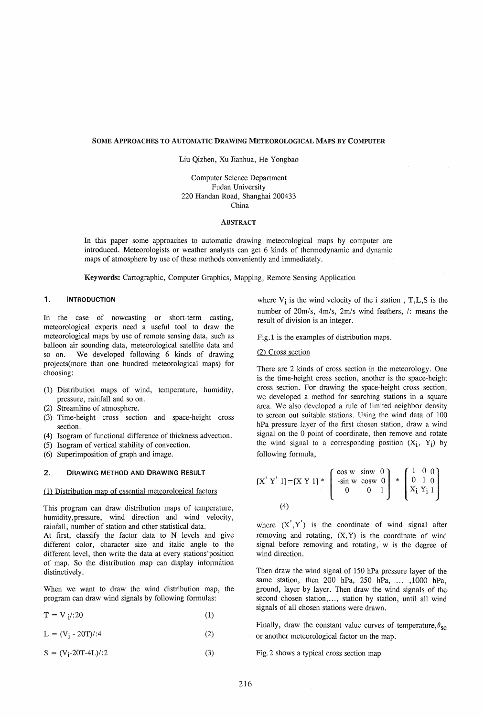#### SOME ApPROACHES TO AUTOMATIC DRAWING METEOROLOGICAL MAps BY COMPUTER

Liu Qizhen, Xu Jianhua, He Yongbao

Computer Science Department Fudan University 220 Handan Road, Shanghai 200433 China

#### ABSTRACT

In this paper some approaches to automatic drawing meteorological maps by computer are introduced. Meteorologists or weather analysts can get 6 kinds of thermodynamic and dynamic maps of atmosphere by use of these methods conveniently and immediately.

Keywords: Cartographic, Computer Graphics, Mapping, Remote Sensing Application

## 1. **INTRODUCTION**

In the case of nowcasting or short-term casting, meteorological experts need a useful tool to draw the meteorological maps by use of remote sensing data, such as balloon air sounding data, meteorological satellite data and so on. We developed following 6 kinds of drawing projects(more than one hundred meteorological maps) for choosing:

- (1) Distribution maps of wind, temperature, humidity, pressure, rainfall and so on.
- (2) Streamline of atmosphere.
- (3) Time-height cross section and space-height cross section.
- (4) Isogram of functional difference of thickness advection.
- (5) Isogram of vertical stability of convection.
- (6) Superimposition of graph and image.

## 2. DRAWING METHOD AND DRAWING RESULT

#### (1) Distribution map of essential meteorological factors

This program can draw distribution maps of temperature, humidity ,pressure, wind direction and wind velocity, rainfall, number of station and other statistical data.

At first, classify the factor data to N levels and give different color, character size and italic angle to the different level, then write the data at every stations'position of map. So the distribution map can display information distinctively.

When we want to draw the wind distribution map, the program can draw wind signals by following formulas:

 $T = V_i / 20$  (1)

 $L = (V_i - 20T)/:4$  (2)

 $S = (V_i - 20T - 4L)/:2$  (3)

where  $V_i$  is the wind velocity of the i station, T, L, S is the number of 20m/s, 4m/s, 2m/s wind feathers, /: means the result of division is an integer.

Fig. 1 is the examples of distribution maps.

### (2) Cross section

There are 2 kinds of cross section in the meteorology. One is the time-height cross section, another is the space-height cross section. For drawing the space-height cross section, we developed a method for searching stations in a square area. We also developed a rule of limited neighbor density to screen out suitable stations. Using the wind data of 100 hPa pressure layer of the first chosen station, draw a wind signal on the 0 point of coordinate, then remove and rotate the wind signal to a corresponding position  $(X_i, Y_i)$  by following formula,

$$
[X' Y' 1] = [X Y 1] * \begin{bmatrix} \cos w & \sin w & 0 \\ -\sin w & \cos w & 0 \\ 0 & 0 & 1 \end{bmatrix} * \begin{bmatrix} 1 & 0 & 0 \\ 0 & 1 & 0 \\ X_1 & Y_1 & 1 \end{bmatrix}
$$
  
(4)

where  $(X', Y')$  is the coordinate of wind signal after removing and rotating,  $(X, Y)$  is the coordinate of wind signal before removing and rotating, w is the degree of wind direction.

Then draw the wind signal of 150 hPa pressure layer of the same station, then 200 hPa, 250 hPa, ... ,1000 hPa, ground, layer by layer. Then draw the wind signals of the second chosen station,..., station by station, until all wind signals of all chosen stations were drawn.

Finally, draw the constant value curves of temperature,  $\theta_{\text{se}}$ or another meteorological factor on the map.

Fig.2 shows a typical cross section map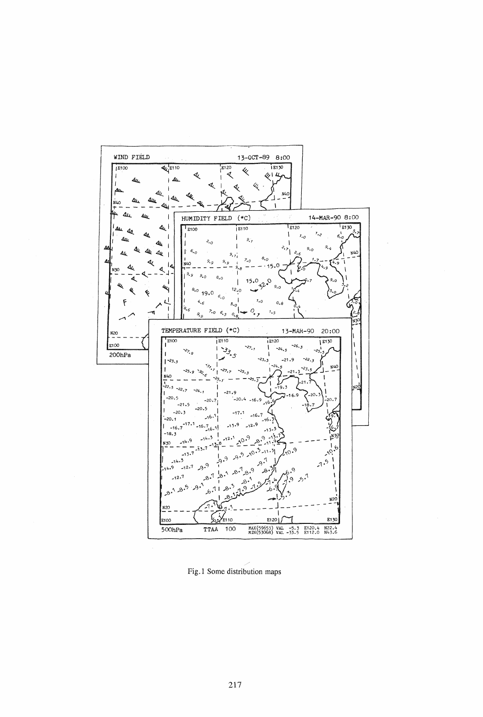

Fig.1 Some distribution maps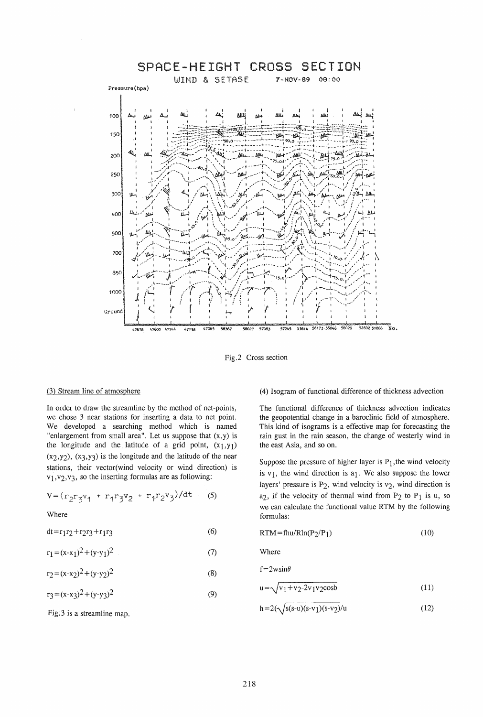

Fig.2 Cross section

## (3) Stream line of atmosphere

In order to draw the streamline by the method of net-points, we chose 3 near stations for inserting a data to net point. We developed a searching method which is named "enlargement from small area". Let us suppose that  $(x,y)$  is the longitude and the latitude of a grid point,  $(x_1,y_1)$  $(x_2,y_2)$ ,  $(x_3,y_3)$  is the longitude and the latitude of the near stations, their vector(wind velocity or wind direction) is  $v_1$ ,  $v_2$ ,  $v_3$ , so the inserting formulas are as following:

$$
V = (r_2 r_3 v_1 + r_1 r_3 v_2 + r_1 r_2 v_3)/dt \t(5)
$$

Where

(6)  $dt = r_1r_2 + r_2r_3 + r_1r_3$ 

$$
r_1 = (x-x_1)^2 + (y-y_1)^2
$$
 (7)

$$
r_2 = (x-x_2)^2 + (y-y_2)^2
$$
 (8)

$$
r_3 = (x-x_3)^2 + (y-y_3)^2 \tag{9}
$$

Fig;3 is a streamline map.

## (4) Isogram of functional difference of thickness advection

The functional difference of thickness advection indicates the geopotential change in a baroclinic field of atmosphere. This kind of isograms is a effective map for forecasting the rain gust in the rain season, the change of westerly wind in the east Asia, and so on.

Suppose the pressure of higher layer is  $P_1$ , the wind velocity is  $v_1$ , the wind direction is  $a_1$ . We also suppose the lower layers' pressure is  $P_2$ , wind velocity is  $v_2$ , wind direction is  $a_2$ , if the velocity of thermal wind from  $P_2$  to  $P_1$  is u, so we can calculate the functional value RTM by the following formulas:

$$
RTM = fhu/Rln(P_2/P_1)
$$
 (10)

Where

$$
f=2w\sin\theta
$$

$$
u = \sqrt{v_1 + v_2 - 2v_1v_2 \cosh} \tag{11}
$$

 $h = 2(\sqrt{s(s-u)(s-v_1)(s-v_2)}/u)$ (12)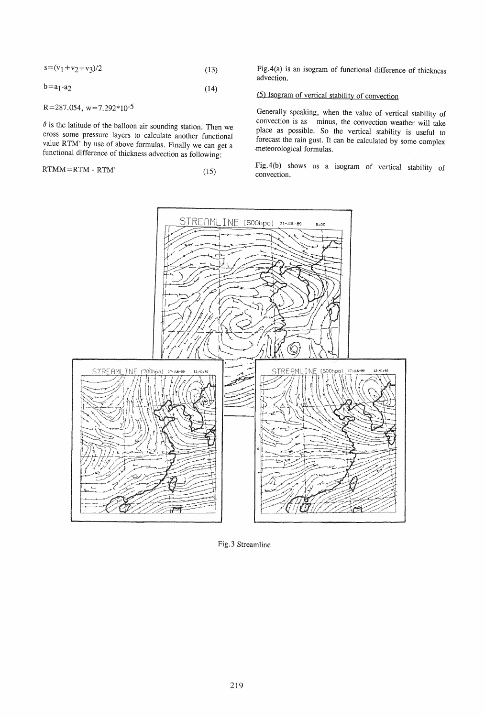$$
s = (v_1 + v_2 + v_3)/2 \tag{13}
$$

$$
b = a_1 - a_2 \tag{14}
$$

 $R=287.054$ ,  $w=7.292*10^{-5}$ 

 $\theta$  is the latitude of the balloon air sounding station. Then we cross some pressure layers to calculate another functional value RTM' by use of above formulas. Finally we can get a functional difference of thickness advection as following:

$$
RTMM = RTM - RTM'
$$
 (15)

Fig.4(a) is an isogram of functional difference of thickness advection.

# (5) Isogram of vertical stability of convection

Generally speaking, when the value of vertical stability of convection is as minus, the convection weather will take place as possible. So the vertical stability is useful to forecast the rain gust. It can be calculated by some complex meteorological formulas.

Fig.4(b) shows us a isogram of vertical stability of convection.



Fig.3 Streamline